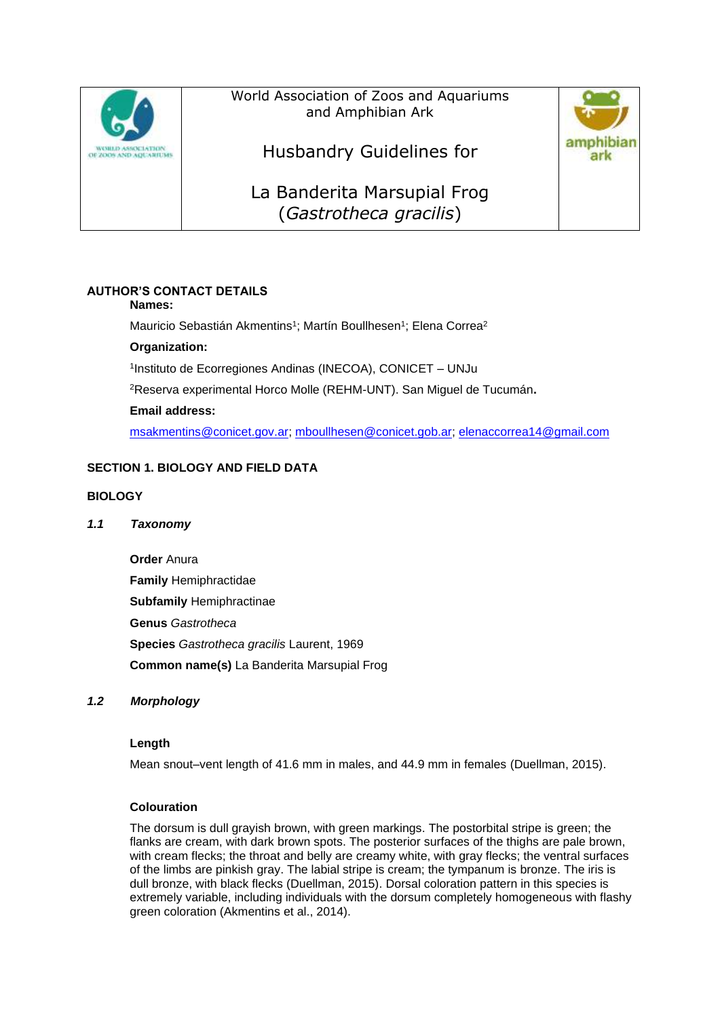

World Association of Zoos and Aquariums and Amphibian Ark



La Banderita Marsupial Frog (*Gastrotheca gracilis*)

# **AUTHOR'S CONTACT DETAILS**

## **Names:**

Mauricio Sebastián Akmentins<sup>1</sup>; Martín Boullhesen<sup>1</sup>; Elena Correa<sup>2</sup>

## **Organization:**

1 Instituto de Ecorregiones Andinas (INECOA), CONICET – UNJu

<sup>2</sup>Reserva experimental Horco Molle (REHM-UNT). San Miguel de Tucumán**.**

## **Email address:**

[msakmentins@conicet.gov.ar;](mailto:msakmentins@conicet.gov.ar) [mboullhesen@conicet.gob.ar;](mailto:mboullhesen@conicet.gob.ar) [elenaccorrea14@gmail.com](mailto:elenaccorrea14@gmail.com)

# **SECTION 1. BIOLOGY AND FIELD DATA**

## **BIOLOGY**

## *1.1 Taxonomy*

**Order** Anura **Family** Hemiphractidae **Subfamily** Hemiphractinae **Genus** *Gastrotheca* **Species** *Gastrotheca gracilis* Laurent, 1969 **Common name(s)** La Banderita Marsupial Frog

## *1.2 Morphology*

## **Length**

Mean snout–vent length of 41.6 mm in males, and 44.9 mm in females (Duellman, 2015).

## **Colouration**

The dorsum is dull grayish brown, with green markings. The postorbital stripe is green; the flanks are cream, with dark brown spots. The posterior surfaces of the thighs are pale brown, with cream flecks; the throat and belly are creamy white, with gray flecks; the ventral surfaces of the limbs are pinkish gray. The labial stripe is cream; the tympanum is bronze. The iris is dull bronze, with black flecks (Duellman, 2015). Dorsal coloration pattern in this species is extremely variable, including individuals with the dorsum completely homogeneous with flashy green coloration (Akmentins et al., 2014).

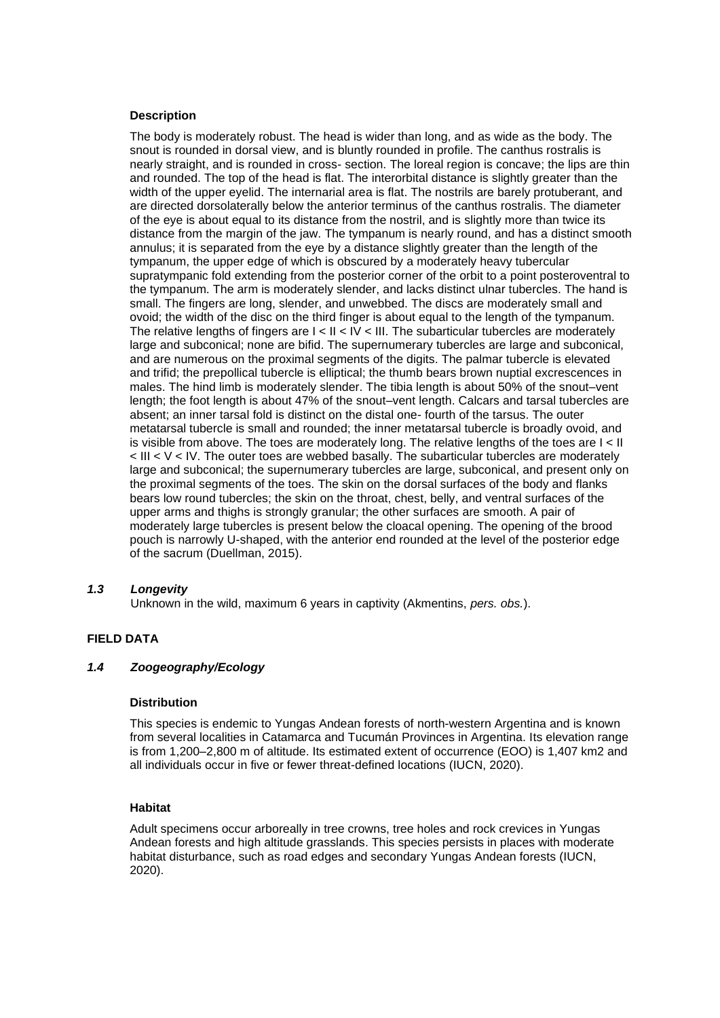#### **Description**

The body is moderately robust. The head is wider than long, and as wide as the body. The snout is rounded in dorsal view, and is bluntly rounded in profile. The canthus rostralis is nearly straight, and is rounded in cross- section. The loreal region is concave; the lips are thin and rounded. The top of the head is flat. The interorbital distance is slightly greater than the width of the upper eyelid. The internarial area is flat. The nostrils are barely protuberant, and are directed dorsolaterally below the anterior terminus of the canthus rostralis. The diameter of the eye is about equal to its distance from the nostril, and is slightly more than twice its distance from the margin of the jaw. The tympanum is nearly round, and has a distinct smooth annulus; it is separated from the eye by a distance slightly greater than the length of the tympanum, the upper edge of which is obscured by a moderately heavy tubercular supratympanic fold extending from the posterior corner of the orbit to a point posteroventral to the tympanum. The arm is moderately slender, and lacks distinct ulnar tubercles. The hand is small. The fingers are long, slender, and unwebbed. The discs are moderately small and ovoid; the width of the disc on the third finger is about equal to the length of the tympanum. The relative lengths of fingers are  $I < II < IV < III$ . The subarticular tubercles are moderately large and subconical; none are bifid. The supernumerary tubercles are large and subconical, and are numerous on the proximal segments of the digits. The palmar tubercle is elevated and trifid; the prepollical tubercle is elliptical; the thumb bears brown nuptial excrescences in males. The hind limb is moderately slender. The tibia length is about 50% of the snout–vent length; the foot length is about 47% of the snout–vent length. Calcars and tarsal tubercles are absent; an inner tarsal fold is distinct on the distal one- fourth of the tarsus. The outer metatarsal tubercle is small and rounded; the inner metatarsal tubercle is broadly ovoid, and is visible from above. The toes are moderately long. The relative lengths of the toes are I < II  $\leq$  III  $\leq$  V  $\leq$  IV. The outer toes are webbed basally. The subarticular tubercles are moderately large and subconical; the supernumerary tubercles are large, subconical, and present only on the proximal segments of the toes. The skin on the dorsal surfaces of the body and flanks bears low round tubercles; the skin on the throat, chest, belly, and ventral surfaces of the upper arms and thighs is strongly granular; the other surfaces are smooth. A pair of moderately large tubercles is present below the cloacal opening. The opening of the brood pouch is narrowly U-shaped, with the anterior end rounded at the level of the posterior edge of the sacrum (Duellman, 2015).

## *1.3 Longevity*

Unknown in the wild, maximum 6 years in captivity (Akmentins, *pers. obs.*).

## **FIELD DATA**

#### *1.4 Zoogeography/Ecology*

#### **Distribution**

This species is endemic to Yungas Andean forests of north-western Argentina and is known from several localities in Catamarca and Tucumán Provinces in Argentina. Its elevation range is from 1,200–2,800 m of altitude. Its estimated extent of occurrence (EOO) is 1,407 km2 and all individuals occur in five or fewer threat-defined locations (IUCN, 2020).

#### **Habitat**

Adult specimens occur arboreally in tree crowns, tree holes and rock crevices in Yungas Andean forests and high altitude grasslands. This species persists in places with moderate habitat disturbance, such as road edges and secondary Yungas Andean forests (IUCN, 2020).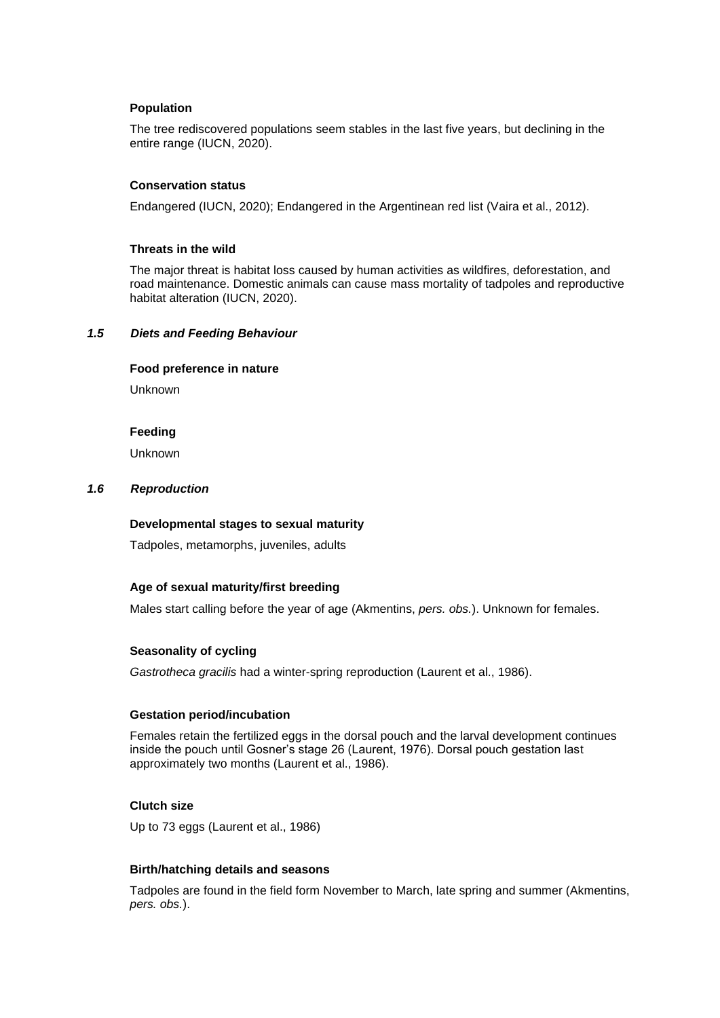#### **Population**

The tree rediscovered populations seem stables in the last five years, but declining in the entire range (IUCN, 2020).

#### **Conservation status**

Endangered (IUCN, 2020); Endangered in the Argentinean red list (Vaira et al., 2012).

#### **Threats in the wild**

The major threat is habitat loss caused by human activities as wildfires, deforestation, and road maintenance. Domestic animals can cause mass mortality of tadpoles and reproductive habitat alteration (IUCN, 2020).

#### *1.5 Diets and Feeding Behaviour*

#### **Food preference in nature**

Unknown

#### **Feeding**

Unknown

#### *1.6 Reproduction*

#### **Developmental stages to sexual maturity**

Tadpoles, metamorphs, juveniles, adults

## **Age of sexual maturity/first breeding**

Males start calling before the year of age (Akmentins, *pers. obs.*). Unknown for females.

## **Seasonality of cycling**

*Gastrotheca gracilis* had a winter-spring reproduction (Laurent et al., 1986).

#### **Gestation period/incubation**

Females retain the fertilized eggs in the dorsal pouch and the larval development continues inside the pouch until Gosner's stage 26 (Laurent, 1976). Dorsal pouch gestation last approximately two months (Laurent et al., 1986).

## **Clutch size**

Up to 73 eggs (Laurent et al., 1986)

### **Birth/hatching details and seasons**

Tadpoles are found in the field form November to March, late spring and summer (Akmentins, *pers. obs.*).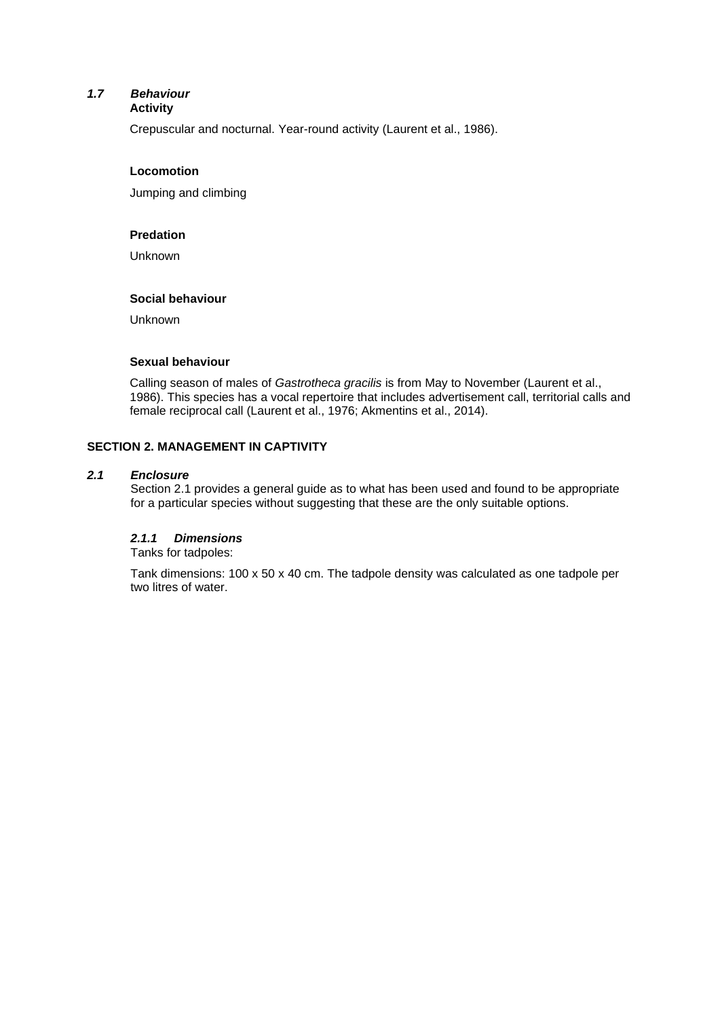#### *1.7 Behaviour* **Activity**

Crepuscular and nocturnal. Year-round activity (Laurent et al., 1986).

#### **Locomotion**

Jumping and climbing

#### **Predation**

Unknown

#### **Social behaviour**

Unknown

#### **Sexual behaviour**

Calling season of males of *Gastrotheca gracilis* is from May to November (Laurent et al., 1986). This species has a vocal repertoire that includes advertisement call, territorial calls and female reciprocal call (Laurent et al., 1976; Akmentins et al., 2014).

## **SECTION 2. MANAGEMENT IN CAPTIVITY**

### *2.1 Enclosure*

Section 2.1 provides a general guide as to what has been used and found to be appropriate for a particular species without suggesting that these are the only suitable options.

## *2.1.1 Dimensions*

Tanks for tadpoles:

Tank dimensions: 100 x 50 x 40 cm. The tadpole density was calculated as one tadpole per two litres of water.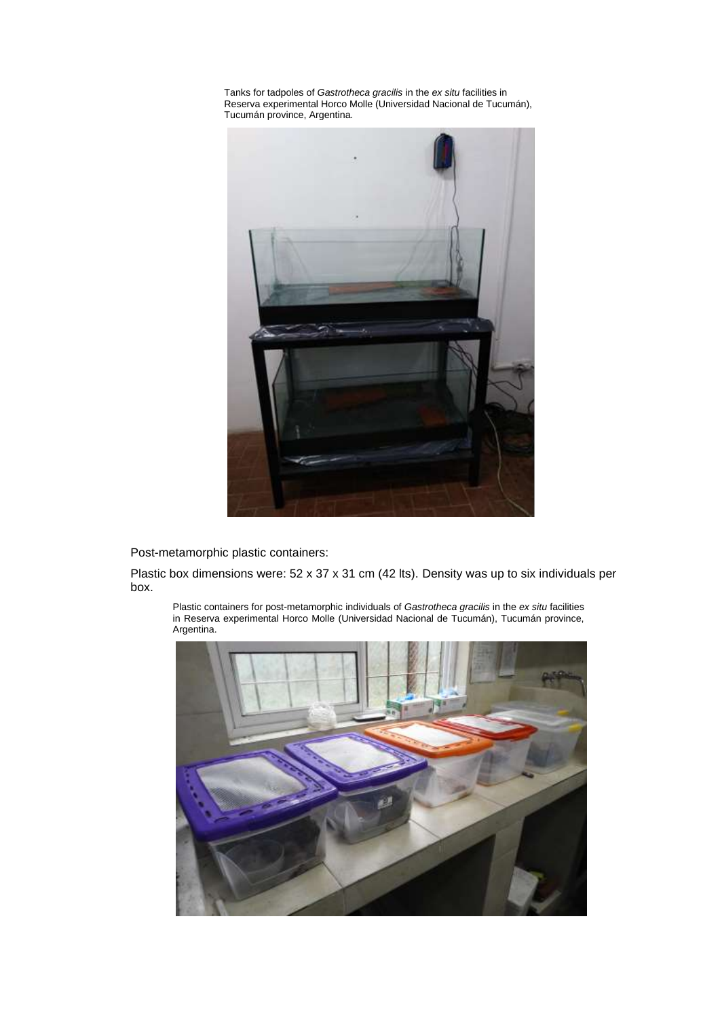Tanks for tadpoles of *Gastrotheca gracilis* in the *ex situ* facilities in Reserva experimental Horco Molle (Universidad Nacional de Tucumán), Tucumán province, Argentina.



Post-metamorphic plastic containers:

Plastic box dimensions were: 52 x 37 x 31 cm (42 lts). Density was up to six individuals per box.

Plastic containers for post-metamorphic individuals of *Gastrotheca gracilis* in the *ex situ* facilities in Reserva experimental Horco Molle (Universidad Nacional de Tucumán), Tucumán province, Argentina.

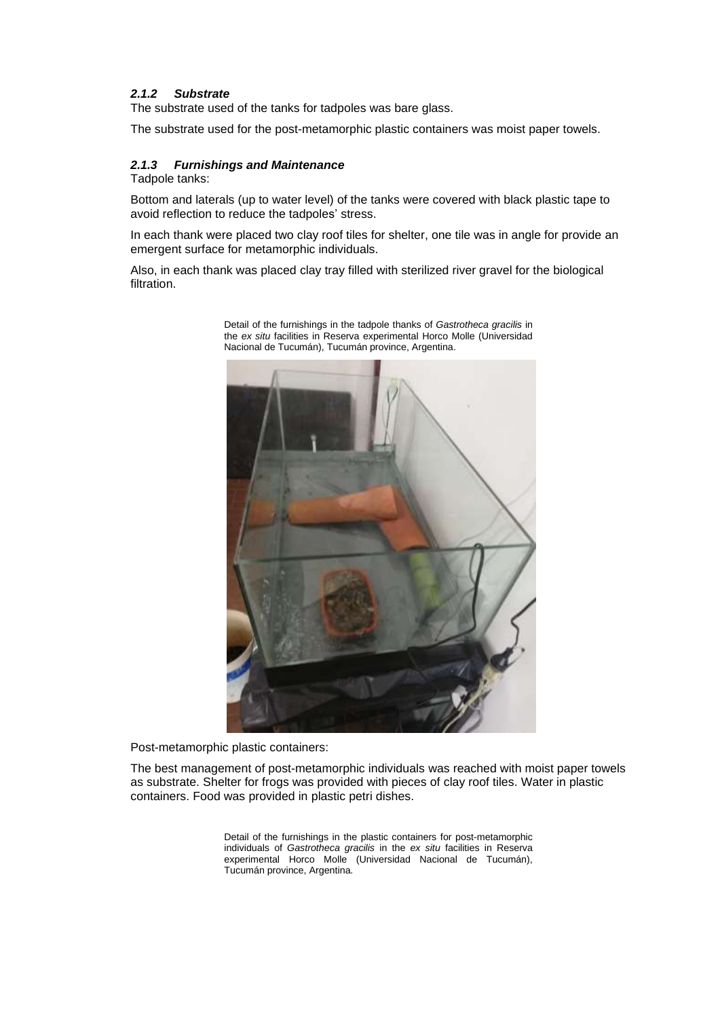## *2.1.2 Substrate*

The substrate used of the tanks for tadpoles was bare glass.

The substrate used for the post-metamorphic plastic containers was moist paper towels.

#### *2.1.3 Furnishings and Maintenance*

Tadpole tanks:

Bottom and laterals (up to water level) of the tanks were covered with black plastic tape to avoid reflection to reduce the tadpoles' stress.

In each thank were placed two clay roof tiles for shelter, one tile was in angle for provide an emergent surface for metamorphic individuals.

Also, in each thank was placed clay tray filled with sterilized river gravel for the biological filtration.



Detail of the furnishings in the tadpole thanks of *Gastrotheca gracilis* in the *ex situ* facilities in Reserva experimental Horco Molle (Universidad Nacional de Tucumán), Tucumán province, Argentina.

Post-metamorphic plastic containers:

The best management of post-metamorphic individuals was reached with moist paper towels as substrate. Shelter for frogs was provided with pieces of clay roof tiles. Water in plastic containers. Food was provided in plastic petri dishes.

> Detail of the furnishings in the plastic containers for post-metamorphic individuals of *Gastrotheca gracilis* in the *ex situ* facilities in Reserva experimental Horco Molle (Universidad Nacional de Tucumán), Tucumán province, Argentina.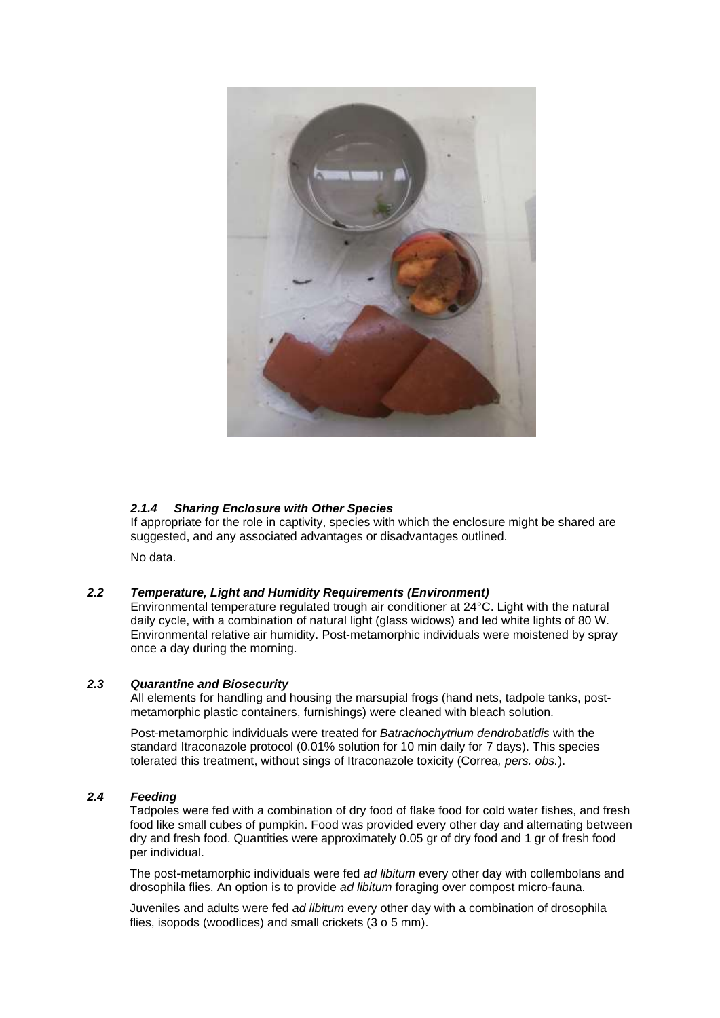

## *2.1.4 Sharing Enclosure with Other Species*

If appropriate for the role in captivity, species with which the enclosure might be shared are suggested, and any associated advantages or disadvantages outlined.

No data.

## *2.2 Temperature, Light and Humidity Requirements (Environment)*

Environmental temperature regulated trough air conditioner at 24°C. Light with the natural daily cycle, with a combination of natural light (glass widows) and led white lights of 80 W. Environmental relative air humidity. Post-metamorphic individuals were moistened by spray once a day during the morning.

#### *2.3 Quarantine and Biosecurity*

All elements for handling and housing the marsupial frogs (hand nets, tadpole tanks, postmetamorphic plastic containers, furnishings) were cleaned with bleach solution.

Post-metamorphic individuals were treated for *Batrachochytrium dendrobatidis* with the standard Itraconazole protocol (0.01% solution for 10 min daily for 7 days). This species tolerated this treatment, without sings of Itraconazole toxicity (Correa*, pers. obs.*).

## *2.4 Feeding*

Tadpoles were fed with a combination of dry food of flake food for cold water fishes, and fresh food like small cubes of pumpkin. Food was provided every other day and alternating between dry and fresh food. Quantities were approximately 0.05 gr of dry food and 1 gr of fresh food per individual.

The post-metamorphic individuals were fed *ad libitum* every other day with collembolans and drosophila flies. An option is to provide *ad libitum* foraging over compost micro-fauna.

Juveniles and adults were fed *ad libitum* every other day with a combination of drosophila flies, isopods (woodlices) and small crickets (3 o 5 mm).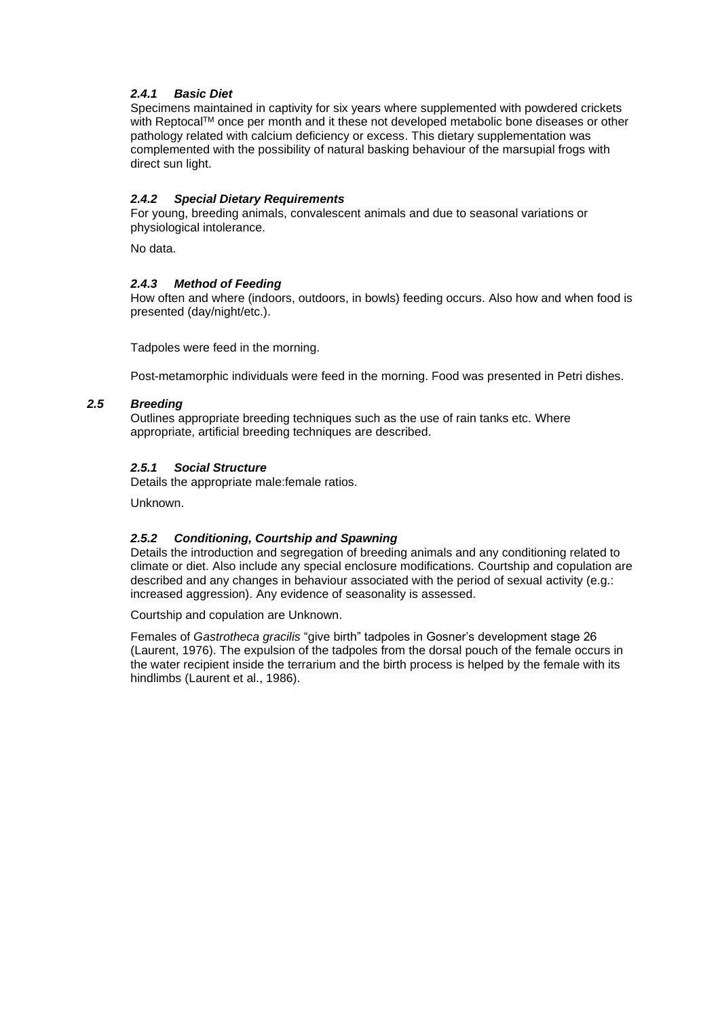## *2.4.1 Basic Diet*

Specimens maintained in captivity for six years where supplemented with powdered crickets with Reptocal™ once per month and it these not developed metabolic bone diseases or other pathology related with calcium deficiency or excess. This dietary supplementation was complemented with the possibility of natural basking behaviour of the marsupial frogs with direct sun light.

## *2.4.2 Special Dietary Requirements*

For young, breeding animals, convalescent animals and due to seasonal variations or physiological intolerance.

No data.

## *2.4.3 Method of Feeding*

How often and where (indoors, outdoors, in bowls) feeding occurs. Also how and when food is presented (day/night/etc.).

Tadpoles were feed in the morning.

Post-metamorphic individuals were feed in the morning. Food was presented in Petri dishes.

## *2.5 Breeding*

Outlines appropriate breeding techniques such as the use of rain tanks etc. Where appropriate, artificial breeding techniques are described.

## *2.5.1 Social Structure*

Details the appropriate male:female ratios.

Unknown.

## *2.5.2 Conditioning, Courtship and Spawning*

Details the introduction and segregation of breeding animals and any conditioning related to climate or diet. Also include any special enclosure modifications. Courtship and copulation are described and any changes in behaviour associated with the period of sexual activity (e.g.: increased aggression). Any evidence of seasonality is assessed.

Courtship and copulation are Unknown.

Females of *Gastrotheca gracilis* "give birth" tadpoles in Gosner's development stage 26 (Laurent, 1976). The expulsion of the tadpoles from the dorsal pouch of the female occurs in the water recipient inside the terrarium and the birth process is helped by the female with its hindlimbs (Laurent et al., 1986).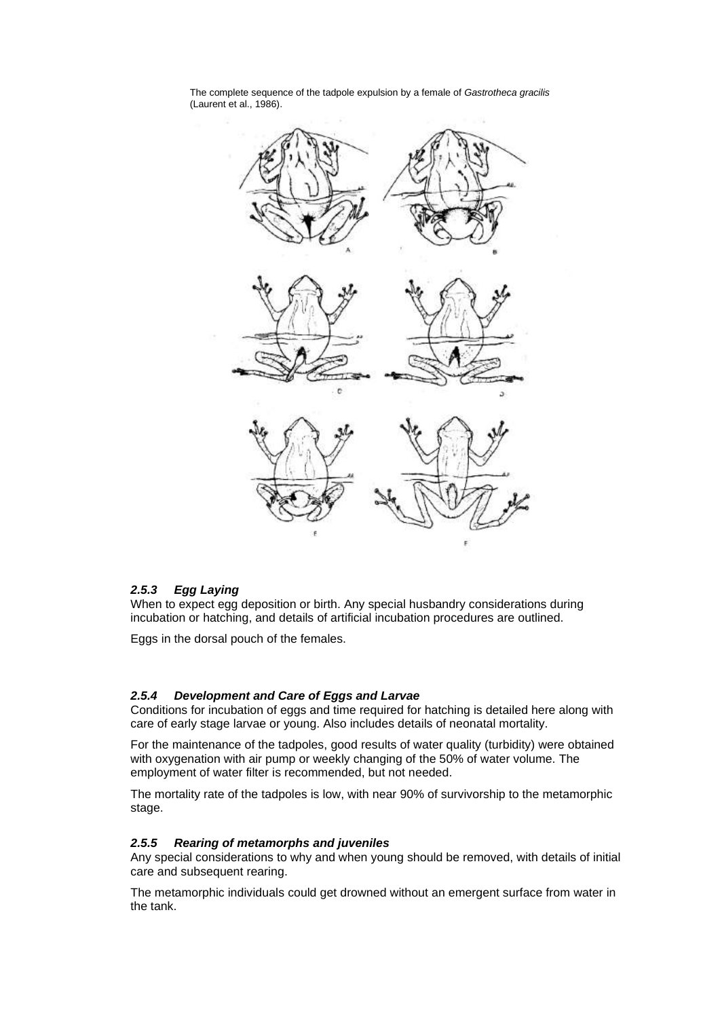

The complete sequence of the tadpole expulsion by a female of *Gastrotheca gracilis* (Laurent et al., 1986).

#### *2.5.3 Egg Laying*

When to expect egg deposition or birth. Any special husbandry considerations during incubation or hatching, and details of artificial incubation procedures are outlined.

Eggs in the dorsal pouch of the females.

#### *2.5.4 Development and Care of Eggs and Larvae*

Conditions for incubation of eggs and time required for hatching is detailed here along with care of early stage larvae or young. Also includes details of neonatal mortality.

For the maintenance of the tadpoles, good results of water quality (turbidity) were obtained with oxygenation with air pump or weekly changing of the 50% of water volume. The employment of water filter is recommended, but not needed.

The mortality rate of the tadpoles is low, with near 90% of survivorship to the metamorphic stage.

#### *2.5.5 Rearing of metamorphs and juveniles*

Any special considerations to why and when young should be removed, with details of initial care and subsequent rearing.

The metamorphic individuals could get drowned without an emergent surface from water in the tank.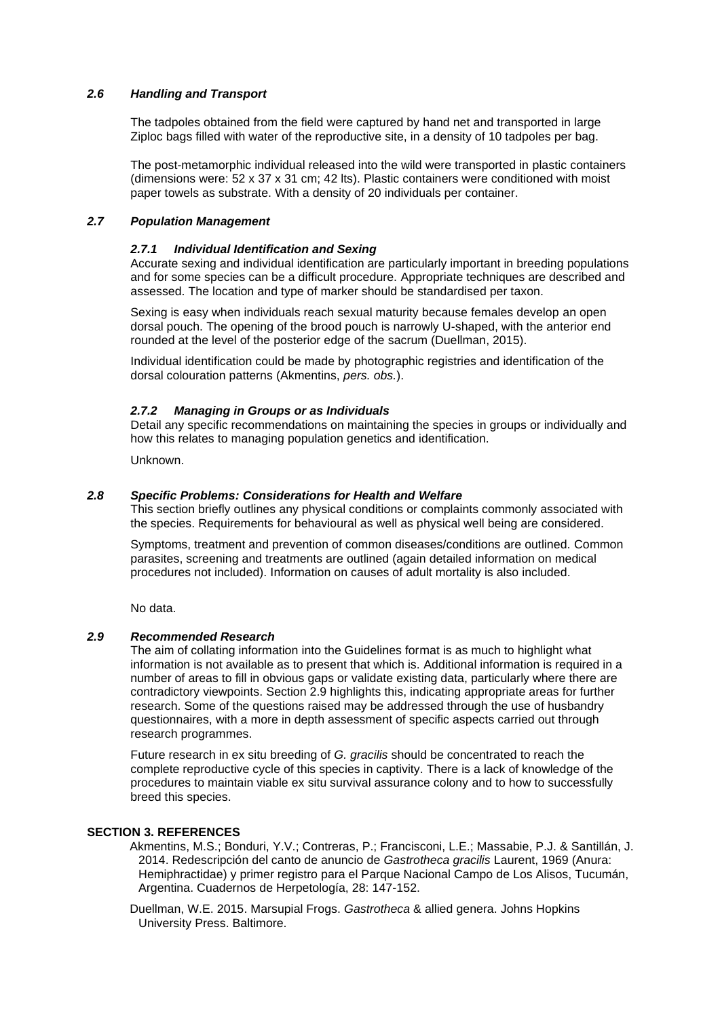#### *2.6 Handling and Transport*

The tadpoles obtained from the field were captured by hand net and transported in large Ziploc bags filled with water of the reproductive site, in a density of 10 tadpoles per bag.

The post-metamorphic individual released into the wild were transported in plastic containers (dimensions were:  $52 \times 37 \times 31$  cm; 42 lts). Plastic containers were conditioned with moist paper towels as substrate. With a density of 20 individuals per container.

#### *2.7 Population Management*

#### *2.7.1 Individual Identification and Sexing*

Accurate sexing and individual identification are particularly important in breeding populations and for some species can be a difficult procedure. Appropriate techniques are described and assessed. The location and type of marker should be standardised per taxon.

Sexing is easy when individuals reach sexual maturity because females develop an open dorsal pouch. The opening of the brood pouch is narrowly U-shaped, with the anterior end rounded at the level of the posterior edge of the sacrum (Duellman, 2015).

Individual identification could be made by photographic registries and identification of the dorsal colouration patterns (Akmentins, *pers. obs.*).

#### *2.7.2 Managing in Groups or as Individuals*

Detail any specific recommendations on maintaining the species in groups or individually and how this relates to managing population genetics and identification.

Unknown.

#### *2.8 Specific Problems: Considerations for Health and Welfare*

This section briefly outlines any physical conditions or complaints commonly associated with the species. Requirements for behavioural as well as physical well being are considered.

Symptoms, treatment and prevention of common diseases/conditions are outlined. Common parasites, screening and treatments are outlined (again detailed information on medical procedures not included). Information on causes of adult mortality is also included.

No data.

#### *2.9 Recommended Research*

The aim of collating information into the Guidelines format is as much to highlight what information is not available as to present that which is. Additional information is required in a number of areas to fill in obvious gaps or validate existing data, particularly where there are contradictory viewpoints. Section 2.9 highlights this, indicating appropriate areas for further research. Some of the questions raised may be addressed through the use of husbandry questionnaires, with a more in depth assessment of specific aspects carried out through research programmes.

Future research in ex situ breeding of *G. gracilis* should be concentrated to reach the complete reproductive cycle of this species in captivity. There is a lack of knowledge of the procedures to maintain viable ex situ survival assurance colony and to how to successfully breed this species.

#### **SECTION 3. REFERENCES**

Akmentins, M.S.; Bonduri, Y.V.; Contreras, P.; Francisconi, L.E.; Massabie, P.J. & Santillán, J. 2014. Redescripción del canto de anuncio de *Gastrotheca gracilis* Laurent, 1969 (Anura: Hemiphractidae) y primer registro para el Parque Nacional Campo de Los Alisos, Tucumán, Argentina. Cuadernos de Herpetología, 28: 147-152.

Duellman, W.E. 2015. Marsupial Frogs. *Gastrotheca* & allied genera. Johns Hopkins University Press. Baltimore.